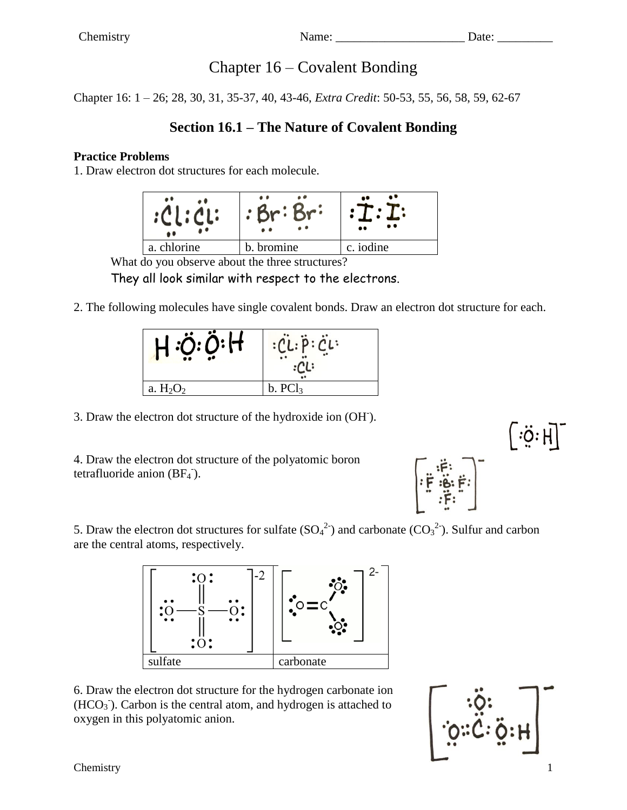# Chapter 16 – Covalent Bonding

Chapter 16: 1 – 26; 28, 30, 31, 35-37, 40, 43-46, *Extra Credit*: 50-53, 55, 56, 58, 59, 62-67

## **Section 16.1 – The Nature of Covalent Bonding**

### **Practice Problems**

1. Draw electron dot structures for each molecule.

|             | $\bullet$ (<br>. . | $\bullet$<br>$\bullet\bullet$ |
|-------------|--------------------|-------------------------------|
| a. chlorine | bromine            | c. iodine                     |

What do you observe about the three structures?

They all look similar with respect to the electrons.

2. The following molecules have single covalent bonds. Draw an electron dot structure for each.

|             | $^{\prime}$ L: P: CL:<br>$\cdot$ |
|-------------|----------------------------------|
| a. $H_2O_2$ | b. PCl <sub>3</sub>              |

3. Draw the electron dot structure of the hydroxide ion (OH- ).

4. Draw the electron dot structure of the polyatomic boron tetrafluoride anion  $(BF_4^-)$ .



5. Draw the electron dot structures for sulfate  $(SO_4^2)$  and carbonate  $(CO_3^2)$ . Sulfur and carbon are the central atoms, respectively.



6. Draw the electron dot structure for the hydrogen carbonate ion  $(HCO<sub>3</sub>)$ . Carbon is the central atom, and hydrogen is attached to oxygen in this polyatomic anion.



 $\mid$   $\cdot$ ö $\cdot$  H $\mid$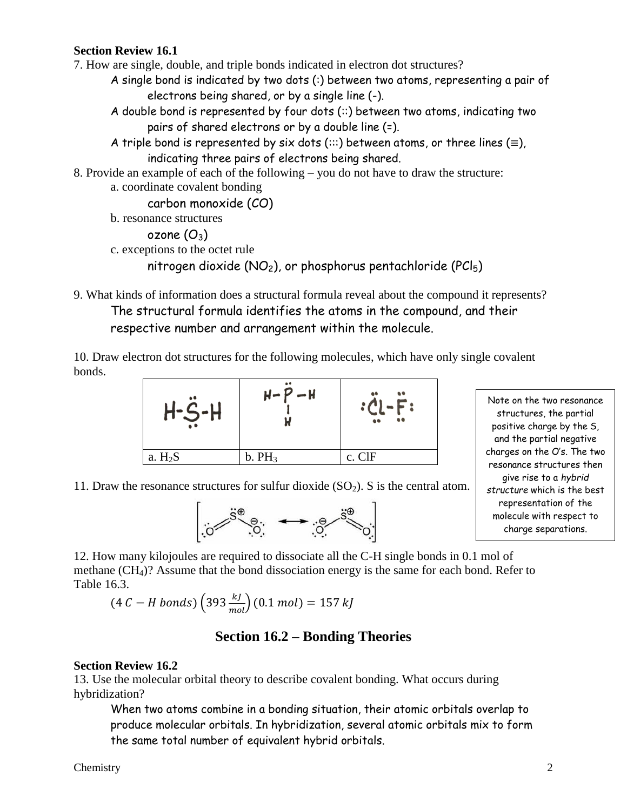### **Section Review 16.1**

7. How are single, double, and triple bonds indicated in electron dot structures?

A single bond is indicated by two dots (:) between two atoms, representing a pair of electrons being shared, or by a single line (-).

A double bond is represented by four dots (::) between two atoms, indicating two pairs of shared electrons or by a double line (=).

A triple bond is represented by six dots ( $::$ ) between atoms, or three lines ( $\equiv$ ), indicating three pairs of electrons being shared.

- 8. Provide an example of each of the following you do not have to draw the structure:
	- a. coordinate covalent bonding

carbon monoxide (CO)

b. resonance structures

```
ozone (O_3)
```
c. exceptions to the octet rule

```
nitrogen dioxide (NO<sub>2</sub>), or phosphorus pentachloride (PCl<sub>5</sub>)
```
9. What kinds of information does a structural formula reveal about the compound it represents? The structural formula identifies the atoms in the compound, and their respective number and arrangement within the molecule.

10. Draw electron dot structures for the following molecules, which have only single covalent bonds.



Note on the two resonance structures, the partial positive charge by the S, and the partial negative charges on the O's. The two resonance structures then give rise to a *hybrid structure* which is the best representation of the molecule with respect to charge separations.

11. Draw the resonance structures for sulfur dioxide  $(SO<sub>2</sub>)$ . S is the central atom.



12. How many kilojoules are required to dissociate all the C-H single bonds in 0.1 mol of methane (CH4)? Assume that the bond dissociation energy is the same for each bond. Refer to Table 16.3.

$$
(4 C - H \text{ bonds}) \left( 393 \frac{kJ}{mol} \right) (0.1 \text{ mol}) = 157 \text{ kJ}
$$

## **Section 16.2 – Bonding Theories**

#### **Section Review 16.2**

13. Use the molecular orbital theory to describe covalent bonding. What occurs during hybridization?

When two atoms combine in a bonding situation, their atomic orbitals overlap to produce molecular orbitals. In hybridization, several atomic orbitals mix to form the same total number of equivalent hybrid orbitals.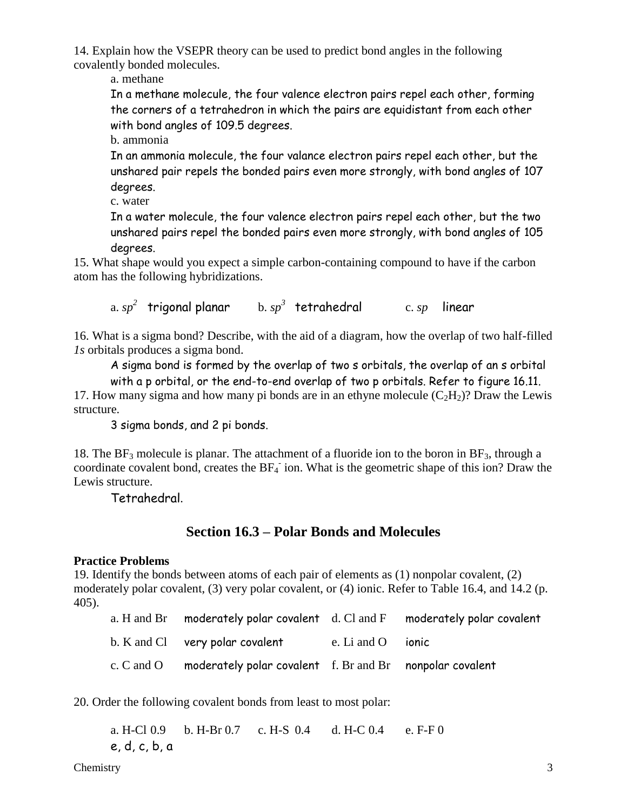14. Explain how the VSEPR theory can be used to predict bond angles in the following covalently bonded molecules.

a. methane

In a methane molecule, the four valence electron pairs repel each other, forming the corners of a tetrahedron in which the pairs are equidistant from each other with bond angles of 109.5 degrees.

b. ammonia

In an ammonia molecule, the four valance electron pairs repel each other, but the unshared pair repels the bonded pairs even more strongly, with bond angles of 107 degrees.

c. water

In a water molecule, the four valence electron pairs repel each other, but the two unshared pairs repel the bonded pairs even more strongly, with bond angles of 105 degrees.

15. What shape would you expect a simple carbon-containing compound to have if the carbon atom has the following hybridizations.

a. *sp 2* trigonal planar b. *sp 3* tetrahedral c. *sp* linear

16. What is a sigma bond? Describe, with the aid of a diagram, how the overlap of two half-filled *1s* orbitals produces a sigma bond.

A sigma bond is formed by the overlap of two s orbitals, the overlap of an s orbital with a p orbital, or the end-to-end overlap of two p orbitals. Refer to figure 16.11.

17. How many sigma and how many pi bonds are in an ethyne molecule  $(C_2H_2)$ ? Draw the Lewis structure.

3 sigma bonds, and 2 pi bonds.

18. The BF<sub>3</sub> molecule is planar. The attachment of a fluoride ion to the boron in BF<sub>3</sub>, through a coordinate covalent bond, creates the  $BF_4$  ion. What is the geometric shape of this ion? Draw the Lewis structure.

Tetrahedral.

## **Section 16.3 – Polar Bonds and Molecules**

### **Practice Problems**

19. Identify the bonds between atoms of each pair of elements as (1) nonpolar covalent, (2) moderately polar covalent, (3) very polar covalent, or (4) ionic. Refer to Table 16.4, and 14.2 (p. 405).

| a. H and Br moderately polar covalent d. Cl and F moderately polar covalent |  |
|-----------------------------------------------------------------------------|--|
| b. K and Cl very polar covalent e. Li and O ionic                           |  |
| c. C and O moderately polar covalent f. Br and Br nonpolar covalent         |  |

20. Order the following covalent bonds from least to most polar:

a. H-Cl 0.9 b. H-Br 0.7 c. H-S 0.4 d. H-C 0.4 e. F-F 0 e, d, c, b, a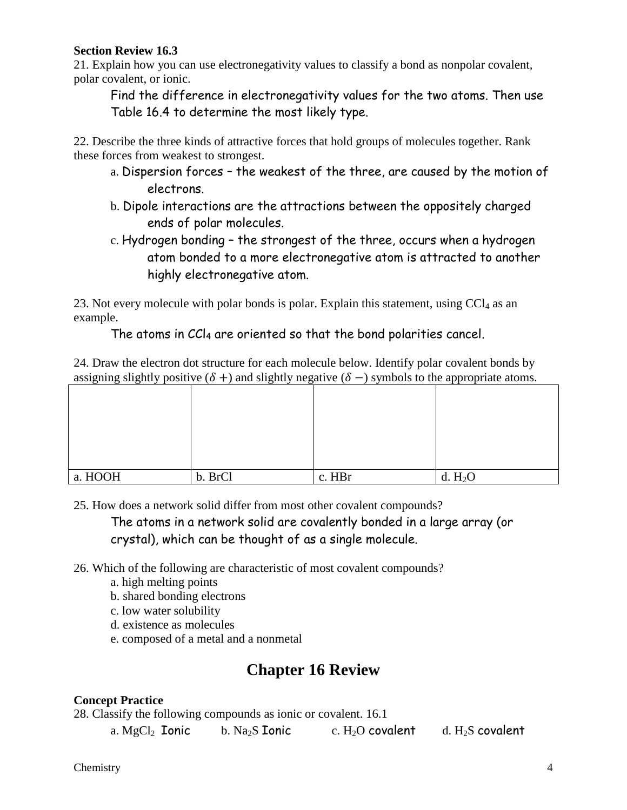### **Section Review 16.3**

21. Explain how you can use electronegativity values to classify a bond as nonpolar covalent, polar covalent, or ionic.

Find the difference in electronegativity values for the two atoms. Then use Table 16.4 to determine the most likely type.

22. Describe the three kinds of attractive forces that hold groups of molecules together. Rank these forces from weakest to strongest.

- a. Dispersion forces the weakest of the three, are caused by the motion of electrons.
- b. Dipole interactions are the attractions between the oppositely charged ends of polar molecules.
- c. Hydrogen bonding the strongest of the three, occurs when a hydrogen atom bonded to a more electronegative atom is attracted to another highly electronegative atom.

23. Not every molecule with polar bonds is polar. Explain this statement, using  $CCl<sub>4</sub>$  as an example.

### The atoms in  $CCI<sub>4</sub>$  are oriented so that the bond polarities cancel.

24. Draw the electron dot structure for each molecule below. Identify polar covalent bonds by assigning slightly positive  $(\delta +)$  and slightly negative  $(\delta -)$  symbols to the appropriate atoms.

| a. HOOH | b. BrCl | c. HBr | d. $H_2O$ |
|---------|---------|--------|-----------|

25. How does a network solid differ from most other covalent compounds?

The atoms in a network solid are covalently bonded in a large array (or crystal), which can be thought of as a single molecule.

26. Which of the following are characteristic of most covalent compounds?

- a. high melting points
- b. shared bonding electrons
- c. low water solubility
- d. existence as molecules
- e. composed of a metal and a nonmetal

# **Chapter 16 Review**

### **Concept Practice**

28. Classify the following compounds as ionic or covalent. 16.1

a. MgCl<sub>2</sub> Ionic b. Na<sub>2</sub>S Ionic c. H<sub>2</sub>O covalent d. H<sub>2</sub>S covalent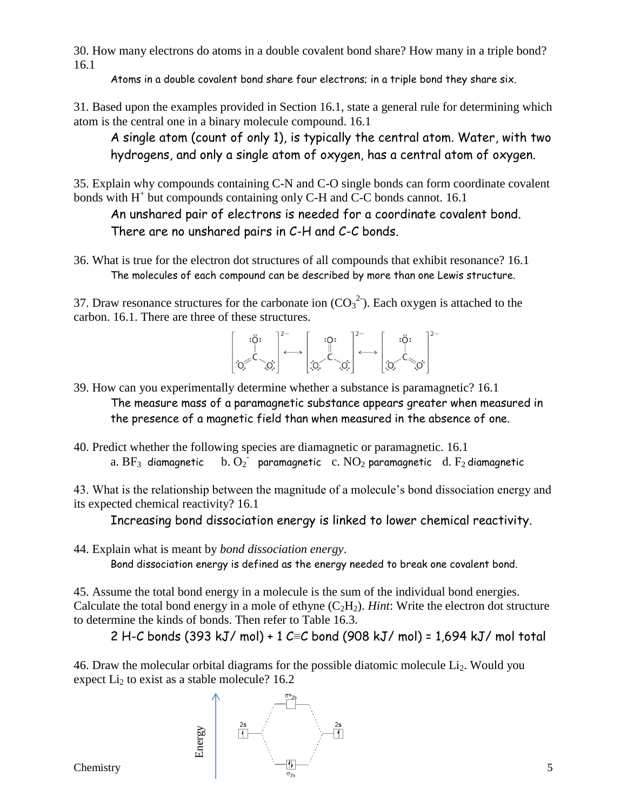30. How many electrons do atoms in a double covalent bond share? How many in a triple bond? 16.1

Atoms in a double covalent bond share four electrons; in a triple bond they share six.

31. Based upon the examples provided in Section 16.1, state a general rule for determining which atom is the central one in a binary molecule compound. 16.1

A single atom (count of only 1), is typically the central atom. Water, with two hydrogens, and only a single atom of oxygen, has a central atom of oxygen.

35. Explain why compounds containing C-N and C-O single bonds can form coordinate covalent bonds with H<sup>+</sup> but compounds containing only C-H and C-C bonds cannot. 16.1

An unshared pair of electrons is needed for a coordinate covalent bond. There are no unshared pairs in C-H and C-C bonds.

36. What is true for the electron dot structures of all compounds that exhibit resonance? 16.1 The molecules of each compound can be described by more than one Lewis structure.

37. Draw resonance structures for the carbonate ion  $(CO_3^2)$ . Each oxygen is attached to the carbon. 16.1. There are three of these structures.



- 39. How can you experimentally determine whether a substance is paramagnetic? 16.1 The measure mass of a paramagnetic substance appears greater when measured in the presence of a magnetic field than when measured in the absence of one.
- 40. Predict whether the following species are diamagnetic or paramagnetic. 16.1 a.  $BF_3$  diamagnetic paramagnetic  $\int c. NO_2$  paramagnetic d.  $F_2$  diamagnetic

43. What is the relationship between the magnitude of a molecule's bond dissociation energy and its expected chemical reactivity? 16.1

Increasing bond dissociation energy is linked to lower chemical reactivity.

44. Explain what is meant by *bond dissociation energy*.

Bond dissociation energy is defined as the energy needed to break one covalent bond.

45. Assume the total bond energy in a molecule is the sum of the individual bond energies. Calculate the total bond energy in a mole of ethyne  $(C_2H_2)$ . *Hint*: Write the electron dot structure to determine the kinds of bonds. Then refer to Table 16.3.

2 H-C bonds (393 kJ/ mol) + 1 C≡C bond (908 kJ/ mol) = 1,694 kJ/ mol total

46. Draw the molecular orbital diagrams for the possible diatomic molecule  $Li<sub>2</sub>$ . Would you expect  $Li<sub>2</sub>$  to exist as a stable molecule? 16.2

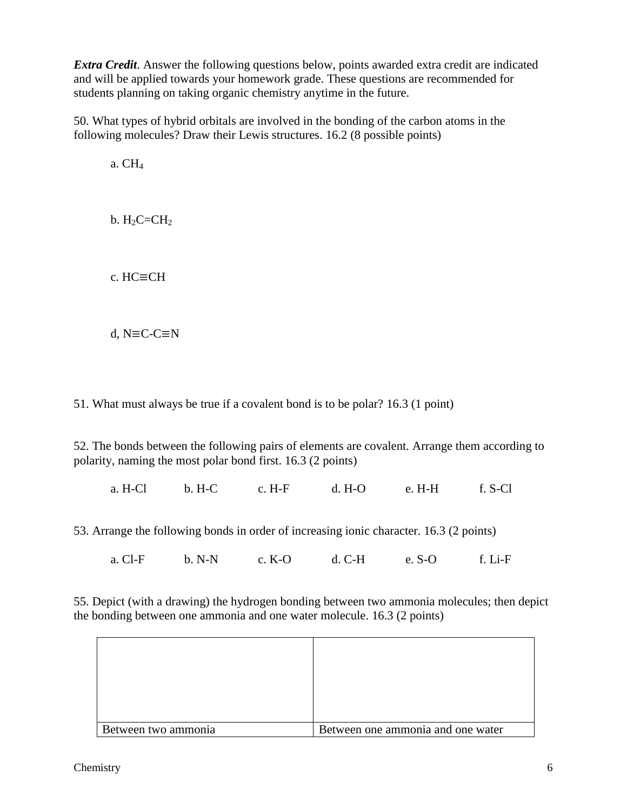*Extra Credit*. Answer the following questions below, points awarded extra credit are indicated and will be applied towards your homework grade. These questions are recommended for students planning on taking organic chemistry anytime in the future.

50. What types of hybrid orbitals are involved in the bonding of the carbon atoms in the following molecules? Draw their Lewis structures. 16.2 (8 possible points)

a. CH<sup>4</sup>

 $b. H<sub>2</sub>C=CH<sub>2</sub>$ 

c. HC≡CH

d, N≡C-C≡N

51. What must always be true if a covalent bond is to be polar? 16.3 (1 point)

52. The bonds between the following pairs of elements are covalent. Arrange them according to polarity, naming the most polar bond first. 16.3 (2 points)

a. H-Cl b. H-C c. H-F d. H-O e. H-H f. S-Cl

53. Arrange the following bonds in order of increasing ionic character. 16.3 (2 points)

a. Cl-F b. N-N c. K-O d. C-H e. S-O f. Li-F

55. Depict (with a drawing) the hydrogen bonding between two ammonia molecules; then depict the bonding between one ammonia and one water molecule. 16.3 (2 points)

| Between two ammonia | Between one ammonia and one water |
|---------------------|-----------------------------------|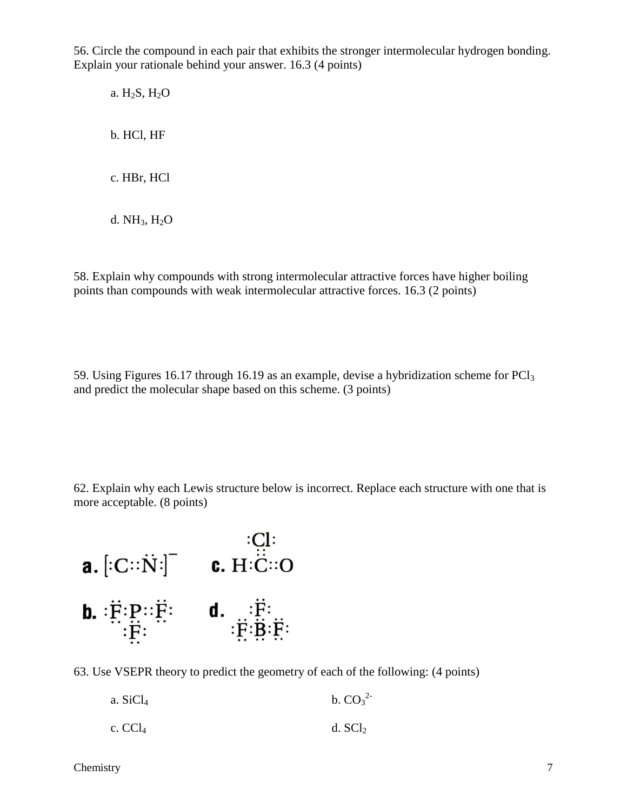56. Circle the compound in each pair that exhibits the stronger intermolecular hydrogen bonding. Explain your rationale behind your answer. 16.3 (4 points)

a. H2S, H2O b. HCl, HF c. HBr, HCl

d.  $NH<sub>3</sub>$ ,  $H<sub>2</sub>O$ 

58. Explain why compounds with strong intermolecular attractive forces have higher boiling points than compounds with weak intermolecular attractive forces. 16.3 (2 points)

59. Using Figures 16.17 through 16.19 as an example, devise a hybridization scheme for PCl<sup>3</sup> and predict the molecular shape based on this scheme. (3 points)

62. Explain why each Lewis structure below is incorrect. Replace each structure with one that is more acceptable. (8 points)



63. Use VSEPR theory to predict the geometry of each of the following: (4 points)

| a. $SiCl4$ | b. $CO_3^2$ |
|------------|-------------|
| c. $CCl4$  | d. $SCl2$   |